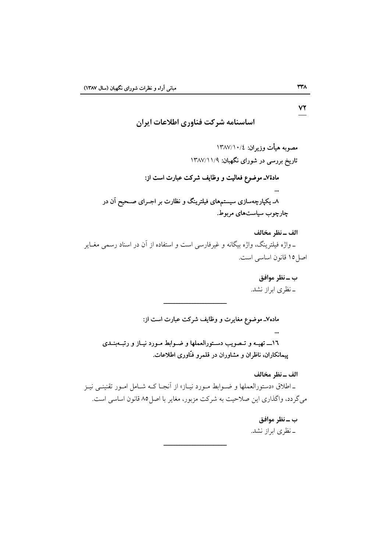اساسنامه شركت فناوري اطلاعات ايران مصوبه هيأت وزيران: ١٣٨٧/١٠/٤ تاریخ بررسی در شورای نگهبان: ۱۳۸۷/۱۱/۹ مادهٔ۷ـ موضوع فعالیت و وظایف شرکت عبارت است از: ۸ـ یکپارچهسازی سیستمهای فیلترینگ و نظارت بر اجــرای صــحیح آن در چارچوب سیاستهای مربوط.

الف \_نظر مخالف ــ واژه فیلترینگ، واژه بیگانه و غیرفارسی است و استفاده از آن در اسناد رسمی مغــایر اصل ١٥ قانون اساسي است.

> ب ــ نظر موافق ۔نظری ابراز نشد.

ماده۷ـ موضوع مغايرت و وظايف شركت عبارت است از: ١٦\_ تهيــه و تــصويب دسـتورالعملها و ضــوابط مــورد نيــاز و رتبــهبنــدى پیمانکاران، ناظران و مشاوران در قلمرو فنّاوری اطلاعات.

الف \_نظر مخالف \_اطلاق «دستورالعملها و ضـوابط مـورد نيـاز» از آنجـا كـه شـامل امـور تقنينـي نيـز می گردد، واگذاری این صلاحیت به شرکت مزبور، مغایر با اصل۸۵ قانون اساسی است.

> ب ـ نظر موافق ـ نظري ابراز نشد.

٧٢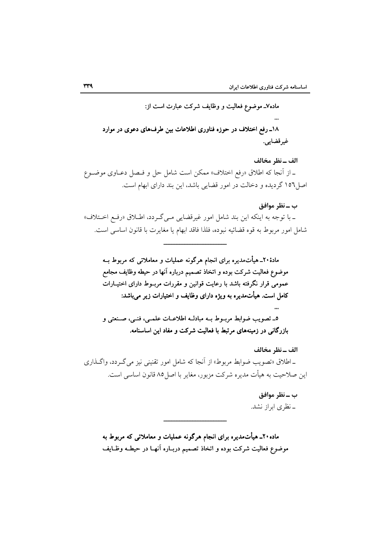الف \_نظر مخالف \_ از آنجا که اطلاق «رفع اختلاف» ممکن است شامل حل و فـصل دعـاوی موضـوع اصل١٥٦ گرديده و دخالت در امور قضايي باشد، اين بند داراي ابهام است.

ب ــ نظر موافق ـ با توجه به اینکه این بند شامل امور غیرقضایی مـیگـردد، اطــلاق «رفـع اخــتلاف» شامل امور مربوط به قوه قضائيه نبوده، فلذا فاقد ابهام يا مغايرت با قانون اساسي است.

مادهٔ۲۰ـ هیأتمدیره برای انجام هرگونه عملیات و معاملاتی که مربوط بــه موضوع فعاليت شركت بوده و اتخاذ تصميم درباره آنها در حيطه وظايف مجامع عمومی قرار نگرفته باشد با رعایت قوانین و مقررات مربــوط دارای اختیــارات کامل است. هیأتمدیره به ویژه دارای وظایف و اختیارات زیر میباشد:

٥ـ تصويب ضوابط مربــوط بــه مبادلــه اطلاعــات علمــي، فنــي، صـنعتي و بازرگانی در زمینههای مرتبط با فعالیت شرکت و مفاد این اساسنامه.

الف \_نظر مخالف \_اطلاق «تصویب ضوابط مربوط» از آنجا که شامل امور تقنینی نیز می گـردد، واگـذاری این صلاحیت به هیأت مدیره شرکت مزبور، مغایر با اصل ۸۵ قانون اساسی است.

> ب ـ نظر موافق ـ نظري ابراز نشد.

ماده۲۰ـ هیأتمدیره برای انجام هرگونه عملیات و معاملاتی که مربوط به موضوع فعالیت شرکت بوده و اتخاذ تصمیم دربـاره آنهـا در حیطـه وظـایف